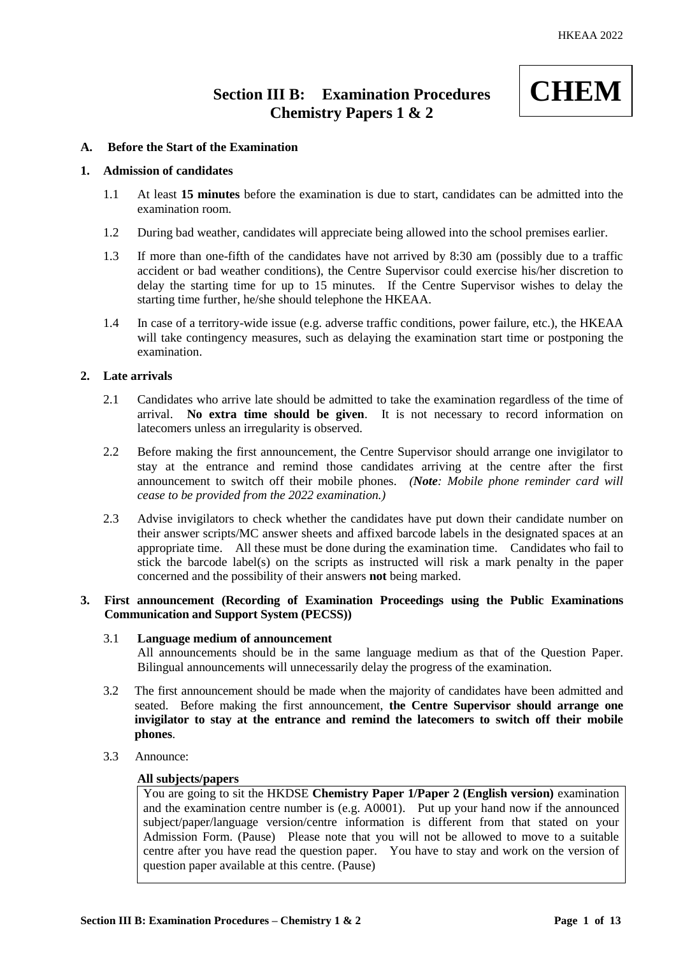# **Section III B: Examination Procedures Chemistry Papers 1 & 2**



## **A. Before the Start of the Examination**

## **1. Admission of candidates**

- 1.1 At least **15 minutes** before the examination is due to start, candidates can be admitted into the examination room.
- 1.2 During bad weather, candidates will appreciate being allowed into the school premises earlier.
- 1.3 If more than one-fifth of the candidates have not arrived by 8:30 am (possibly due to a traffic accident or bad weather conditions), the Centre Supervisor could exercise his/her discretion to delay the starting time for up to 15 minutes. If the Centre Supervisor wishes to delay the starting time further, he/she should telephone the HKEAA.
- 1.4 In case of a territory-wide issue (e.g. adverse traffic conditions, power failure, etc.), the HKEAA will take contingency measures, such as delaying the examination start time or postponing the examination.

# **2. Late arrivals**

- 2.1 Candidates who arrive late should be admitted to take the examination regardless of the time of arrival. **No extra time should be given**. It is not necessary to record information on latecomers unless an irregularity is observed.
- 2.2 Before making the first announcement, the Centre Supervisor should arrange one invigilator to stay at the entrance and remind those candidates arriving at the centre after the first announcement to switch off their mobile phones. *(Note: Mobile phone reminder card will cease to be provided from the 2022 examination.)*
- 2.3 Advise invigilators to check whether the candidates have put down their candidate number on their answer scripts/MC answer sheets and affixed barcode labels in the designated spaces at an appropriate time. All these must be done during the examination time. Candidates who fail to stick the barcode label(s) on the scripts as instructed will risk a mark penalty in the paper concerned and the possibility of their answers **not** being marked.

# **3. First announcement (Recording of Examination Proceedings using the Public Examinations Communication and Support System (PECSS))**

# 3.1 **Language medium of announcement**

All announcements should be in the same language medium as that of the Question Paper. Bilingual announcements will unnecessarily delay the progress of the examination.

- 3.2 The first announcement should be made when the majority of candidates have been admitted and seated. Before making the first announcement, **the Centre Supervisor should arrange one invigilator to stay at the entrance and remind the latecomers to switch off their mobile phones**.
- 3.3 Announce:

## **All subjects/papers**

You are going to sit the HKDSE **Chemistry Paper 1/Paper 2 (English version)** examination and the examination centre number is (e.g. A0001). Put up your hand now if the announced subject/paper/language version/centre information is different from that stated on your Admission Form. (Pause) Please note that you will not be allowed to move to a suitable centre after you have read the question paper. You have to stay and work on the version of question paper available at this centre. (Pause)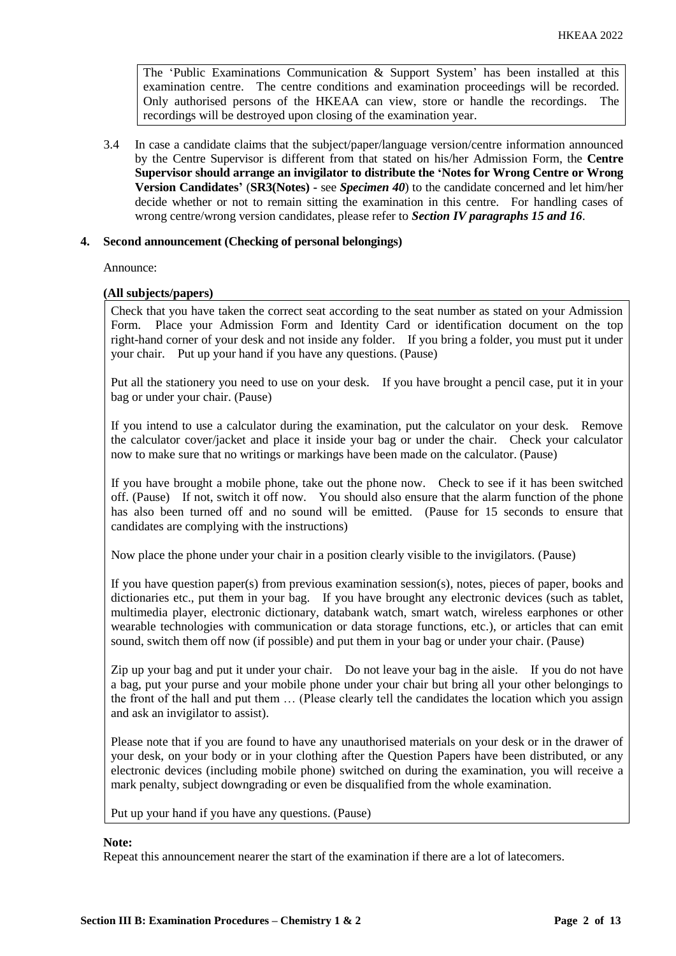The 'Public Examinations Communication  $\&$  Support System' has been installed at this examination centre. The centre conditions and examination proceedings will be recorded. Only authorised persons of the HKEAA can view, store or handle the recordings. The recordings will be destroyed upon closing of the examination year.

3.4 In case a candidate claims that the subject/paper/language version/centre information announced by the Centre Supervisor is different from that stated on his/her Admission Form, the **Centre Supervisor should arrange an invigilator to distribute the 'Notes for Wrong Centre or Wrong Version Candidates'** (**SR3(Notes) -** see *Specimen 40*) to the candidate concerned and let him/her decide whether or not to remain sitting the examination in this centre. For handling cases of wrong centre/wrong version candidates, please refer to *Section IV paragraphs 15 and 16*.

## **4. Second announcement (Checking of personal belongings)**

Announce:

## **(All subjects/papers)**

Check that you have taken the correct seat according to the seat number as stated on your Admission Form. Place your Admission Form and Identity Card or identification document on the top right-hand corner of your desk and not inside any folder. If you bring a folder, you must put it under your chair. Put up your hand if you have any questions. (Pause)

Put all the stationery you need to use on your desk. If you have brought a pencil case, put it in your bag or under your chair. (Pause)

If you intend to use a calculator during the examination, put the calculator on your desk. Remove the calculator cover/jacket and place it inside your bag or under the chair. Check your calculator now to make sure that no writings or markings have been made on the calculator. (Pause)

If you have brought a mobile phone, take out the phone now. Check to see if it has been switched off. (Pause) If not, switch it off now. You should also ensure that the alarm function of the phone has also been turned off and no sound will be emitted. (Pause for 15 seconds to ensure that candidates are complying with the instructions)

Now place the phone under your chair in a position clearly visible to the invigilators. (Pause)

If you have question paper(s) from previous examination session(s), notes, pieces of paper, books and dictionaries etc., put them in your bag. If you have brought any electronic devices (such as tablet, multimedia player, electronic dictionary, databank watch, smart watch, wireless earphones or other wearable technologies with communication or data storage functions, etc.), or articles that can emit sound, switch them off now (if possible) and put them in your bag or under your chair. (Pause)

Zip up your bag and put it under your chair. Do not leave your bag in the aisle. If you do not have a bag, put your purse and your mobile phone under your chair but bring all your other belongings to the front of the hall and put them … (Please clearly tell the candidates the location which you assign and ask an invigilator to assist).

Please note that if you are found to have any unauthorised materials on your desk or in the drawer of your desk, on your body or in your clothing after the Question Papers have been distributed, or any electronic devices (including mobile phone) switched on during the examination, you will receive a mark penalty, subject downgrading or even be disqualified from the whole examination.

Put up your hand if you have any questions. (Pause)

## **Note:**

Repeat this announcement nearer the start of the examination if there are a lot of latecomers.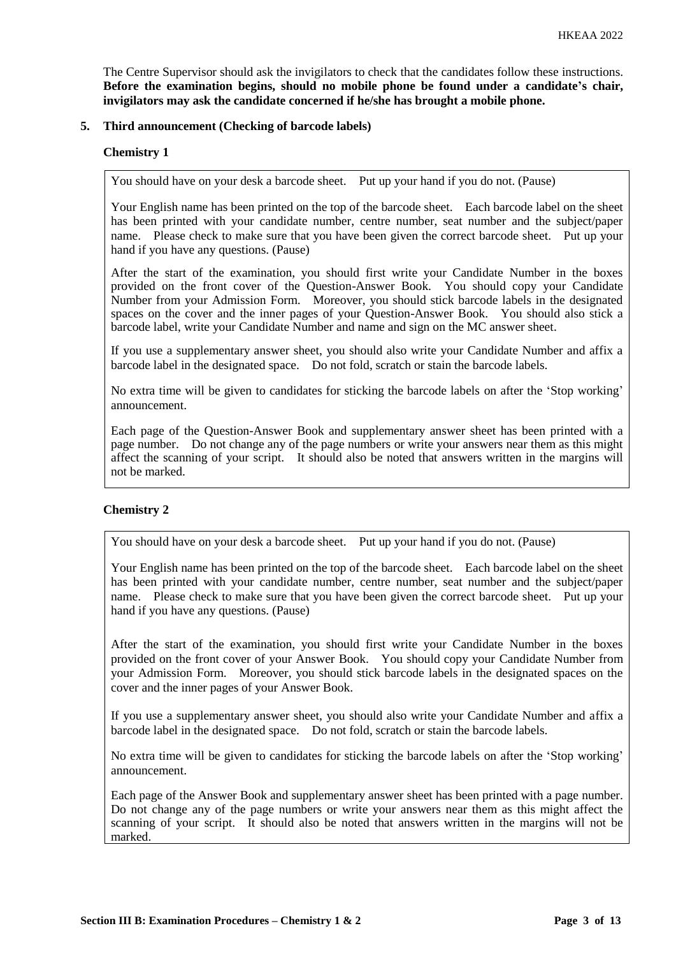The Centre Supervisor should ask the invigilators to check that the candidates follow these instructions. **Before the examination begins, should no mobile phone be found under a candidate's chair, invigilators may ask the candidate concerned if he/she has brought a mobile phone.**

## **5. Third announcement (Checking of barcode labels)**

## **Chemistry 1**

You should have on your desk a barcode sheet. Put up your hand if you do not. (Pause)

Your English name has been printed on the top of the barcode sheet. Each barcode label on the sheet has been printed with your candidate number, centre number, seat number and the subject/paper name. Please check to make sure that you have been given the correct barcode sheet. Put up your hand if you have any questions. (Pause)

After the start of the examination, you should first write your Candidate Number in the boxes provided on the front cover of the Question-Answer Book. You should copy your Candidate Number from your Admission Form. Moreover, you should stick barcode labels in the designated spaces on the cover and the inner pages of your Question-Answer Book. You should also stick a barcode label, write your Candidate Number and name and sign on the MC answer sheet.

If you use a supplementary answer sheet, you should also write your Candidate Number and affix a barcode label in the designated space. Do not fold, scratch or stain the barcode labels.

No extra time will be given to candidates for sticking the barcode labels on after the 'Stop working' announcement.

Each page of the Question-Answer Book and supplementary answer sheet has been printed with a page number. Do not change any of the page numbers or write your answers near them as this might affect the scanning of your script. It should also be noted that answers written in the margins will not be marked.

# **Chemistry 2**

You should have on your desk a barcode sheet. Put up your hand if you do not. (Pause)

Your English name has been printed on the top of the barcode sheet. Each barcode label on the sheet has been printed with your candidate number, centre number, seat number and the subject/paper name. Please check to make sure that you have been given the correct barcode sheet. Put up your hand if you have any questions. (Pause)

After the start of the examination, you should first write your Candidate Number in the boxes provided on the front cover of your Answer Book. You should copy your Candidate Number from your Admission Form. Moreover, you should stick barcode labels in the designated spaces on the cover and the inner pages of your Answer Book.

If you use a supplementary answer sheet, you should also write your Candidate Number and affix a barcode label in the designated space. Do not fold, scratch or stain the barcode labels.

No extra time will be given to candidates for sticking the barcode labels on after the 'Stop working' announcement.

Each page of the Answer Book and supplementary answer sheet has been printed with a page number. Do not change any of the page numbers or write your answers near them as this might affect the scanning of your script. It should also be noted that answers written in the margins will not be marked.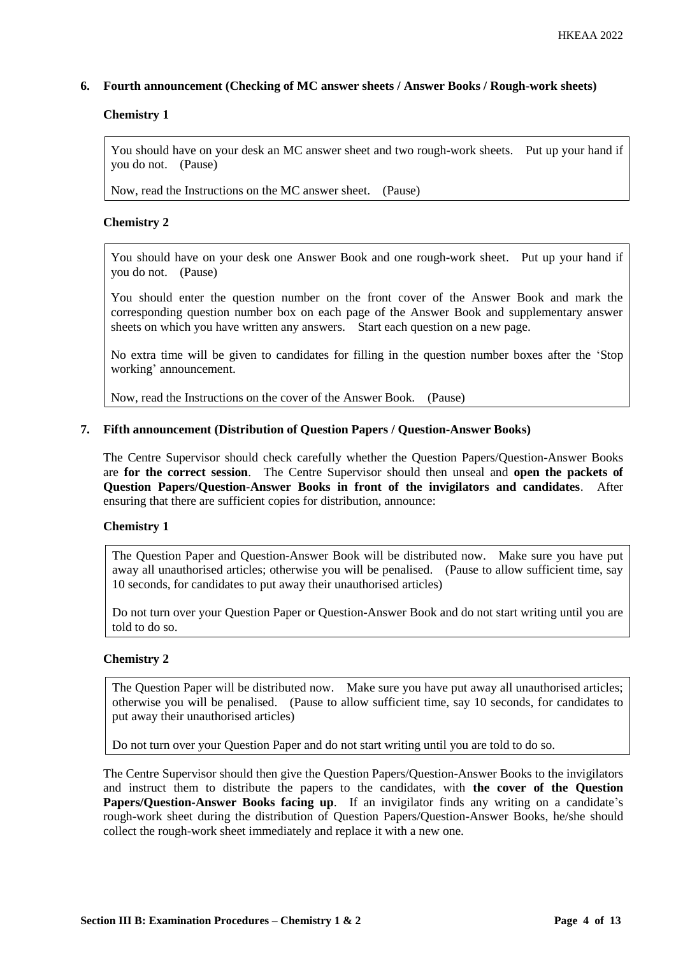## **6. Fourth announcement (Checking of MC answer sheets / Answer Books / Rough-work sheets)**

# **Chemistry 1**

You should have on your desk an MC answer sheet and two rough-work sheets. Put up your hand if you do not. (Pause)

Now, read the Instructions on the MC answer sheet. (Pause)

## **Chemistry 2**

You should have on your desk one Answer Book and one rough-work sheet. Put up your hand if you do not. (Pause)

You should enter the question number on the front cover of the Answer Book and mark the corresponding question number box on each page of the Answer Book and supplementary answer sheets on which you have written any answers. Start each question on a new page.

No extra time will be given to candidates for filling in the question number boxes after the 'Stop working' announcement.

Now, read the Instructions on the cover of the Answer Book. (Pause)

## **7. Fifth announcement (Distribution of Question Papers / Question-Answer Books)**

The Centre Supervisor should check carefully whether the Question Papers/Question-Answer Books are **for the correct session**. The Centre Supervisor should then unseal and **open the packets of Question Papers/Question-Answer Books in front of the invigilators and candidates**. After ensuring that there are sufficient copies for distribution, announce:

## **Chemistry 1**

The Question Paper and Question-Answer Book will be distributed now. Make sure you have put away all unauthorised articles; otherwise you will be penalised. (Pause to allow sufficient time, say 10 seconds, for candidates to put away their unauthorised articles)

Do not turn over your Question Paper or Question-Answer Book and do not start writing until you are told to do so.

# **Chemistry 2**

The Question Paper will be distributed now. Make sure you have put away all unauthorised articles; otherwise you will be penalised. (Pause to allow sufficient time, say 10 seconds, for candidates to put away their unauthorised articles)

Do not turn over your Question Paper and do not start writing until you are told to do so.

The Centre Supervisor should then give the Question Papers/Question-Answer Books to the invigilators and instruct them to distribute the papers to the candidates, with **the cover of the Question Papers/Question-Answer Books facing up**. If an invigilator finds any writing on a candidate's rough-work sheet during the distribution of Question Papers/Question-Answer Books, he/she should collect the rough-work sheet immediately and replace it with a new one.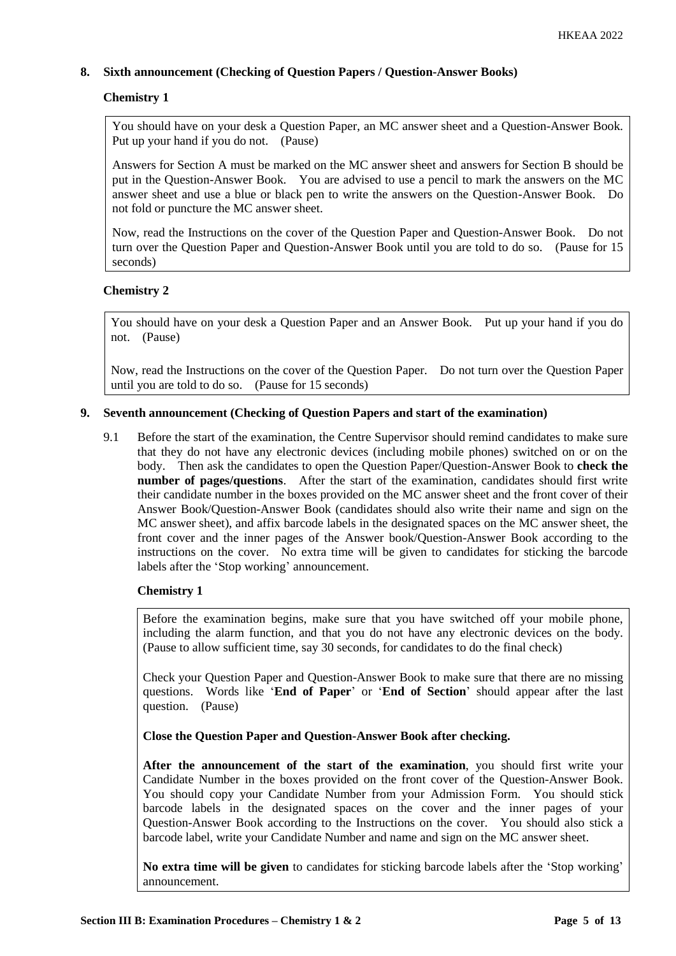# **8. Sixth announcement (Checking of Question Papers / Question-Answer Books)**

# **Chemistry 1**

You should have on your desk a Question Paper, an MC answer sheet and a Question-Answer Book. Put up your hand if you do not. (Pause)

Answers for Section A must be marked on the MC answer sheet and answers for Section B should be put in the Question-Answer Book. You are advised to use a pencil to mark the answers on the MC answer sheet and use a blue or black pen to write the answers on the Question-Answer Book. Do not fold or puncture the MC answer sheet.

Now, read the Instructions on the cover of the Question Paper and Question-Answer Book. Do not turn over the Question Paper and Question-Answer Book until you are told to do so. (Pause for 15 seconds)

# **Chemistry 2**

You should have on your desk a Question Paper and an Answer Book. Put up your hand if you do not. (Pause)

Now, read the Instructions on the cover of the Question Paper. Do not turn over the Question Paper until you are told to do so. (Pause for 15 seconds)

# **9. Seventh announcement (Checking of Question Papers and start of the examination)**

9.1 Before the start of the examination, the Centre Supervisor should remind candidates to make sure that they do not have any electronic devices (including mobile phones) switched on or on the body. Then ask the candidates to open the Question Paper/Question-Answer Book to **check the number of pages/questions.** After the start of the examination, candidates should first write their candidate number in the boxes provided on the MC answer sheet and the front cover of their Answer Book/Question-Answer Book (candidates should also write their name and sign on the MC answer sheet), and affix barcode labels in the designated spaces on the MC answer sheet, the front cover and the inner pages of the Answer book/Question-Answer Book according to the instructions on the cover. No extra time will be given to candidates for sticking the barcode labels after the 'Stop working' announcement.

# **Chemistry 1**

Before the examination begins, make sure that you have switched off your mobile phone, including the alarm function, and that you do not have any electronic devices on the body. (Pause to allow sufficient time, say 30 seconds, for candidates to do the final check)

Check your Question Paper and Question-Answer Book to make sure that there are no missing questions. Words like '**End of Paper**' or '**End of Section**' should appear after the last question. (Pause)

**Close the Question Paper and Question-Answer Book after checking.**

**After the announcement of the start of the examination**, you should first write your Candidate Number in the boxes provided on the front cover of the Question-Answer Book. You should copy your Candidate Number from your Admission Form. You should stick barcode labels in the designated spaces on the cover and the inner pages of your Question-Answer Book according to the Instructions on the cover. You should also stick a barcode label, write your Candidate Number and name and sign on the MC answer sheet.

**No extra time will be given** to candidates for sticking barcode labels after the 'Stop working' announcement.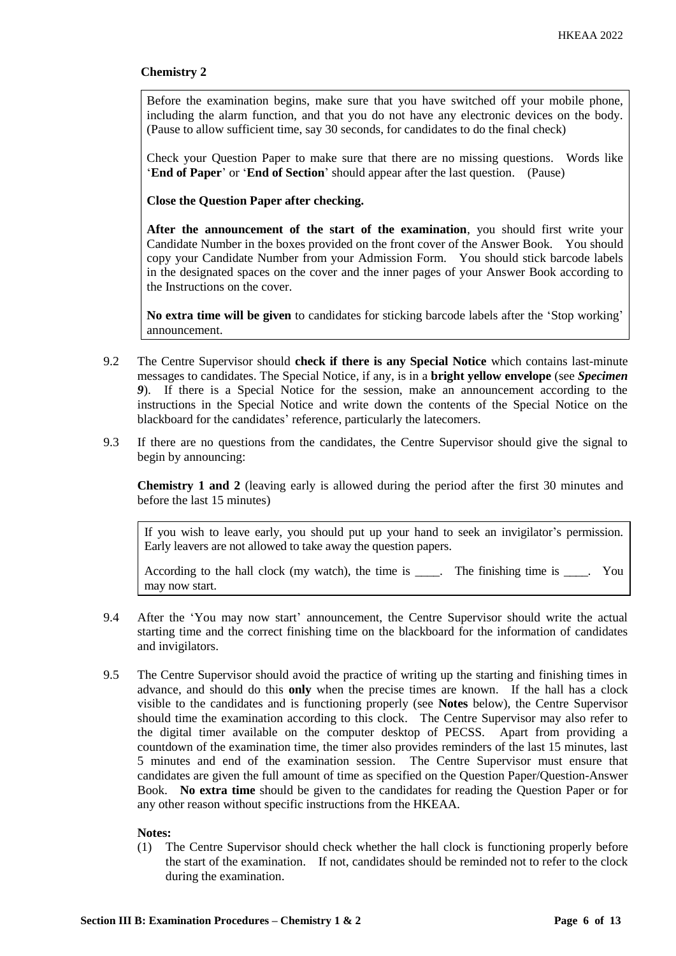Before the examination begins, make sure that you have switched off your mobile phone, including the alarm function, and that you do not have any electronic devices on the body. (Pause to allow sufficient time, say 30 seconds, for candidates to do the final check)

Check your Question Paper to make sure that there are no missing questions. Words like '**End of Paper**' or '**End of Section**' should appear after the last question. (Pause)

**Close the Question Paper after checking.**

**After the announcement of the start of the examination**, you should first write your Candidate Number in the boxes provided on the front cover of the Answer Book. You should copy your Candidate Number from your Admission Form. You should stick barcode labels in the designated spaces on the cover and the inner pages of your Answer Book according to the Instructions on the cover.

**No extra time will be given** to candidates for sticking barcode labels after the 'Stop working' announcement.

- 9.2 The Centre Supervisor should **check if there is any Special Notice** which contains last-minute messages to candidates. The Special Notice, if any, is in a **bright yellow envelope** (see *Specimen 9*). If there is a Special Notice for the session, make an announcement according to the instructions in the Special Notice and write down the contents of the Special Notice on the blackboard for the candidates' reference, particularly the latecomers.
- 9.3 If there are no questions from the candidates, the Centre Supervisor should give the signal to begin by announcing:

**Chemistry 1 and 2** (leaving early is allowed during the period after the first 30 minutes and before the last 15 minutes)

If you wish to leave early, you should put up your hand to seek an invigilator's permission. Early leavers are not allowed to take away the question papers.

According to the hall clock (my watch), the time is \_\_\_\_. The finishing time is \_\_\_\_. You may now start.

- 9.4 After the 'You may now start' announcement, the Centre Supervisor should write the actual starting time and the correct finishing time on the blackboard for the information of candidates and invigilators.
- 9.5 The Centre Supervisor should avoid the practice of writing up the starting and finishing times in advance, and should do this **only** when the precise times are known. If the hall has a clock visible to the candidates and is functioning properly (see **Notes** below), the Centre Supervisor should time the examination according to this clock. The Centre Supervisor may also refer to the digital timer available on the computer desktop of PECSS. Apart from providing a countdown of the examination time, the timer also provides reminders of the last 15 minutes, last 5 minutes and end of the examination session. The Centre Supervisor must ensure that candidates are given the full amount of time as specified on the Question Paper/Question-Answer Book. **No extra time** should be given to the candidates for reading the Question Paper or for any other reason without specific instructions from the HKEAA.

## **Notes:**

(1) The Centre Supervisor should check whether the hall clock is functioning properly before the start of the examination. If not, candidates should be reminded not to refer to the clock during the examination.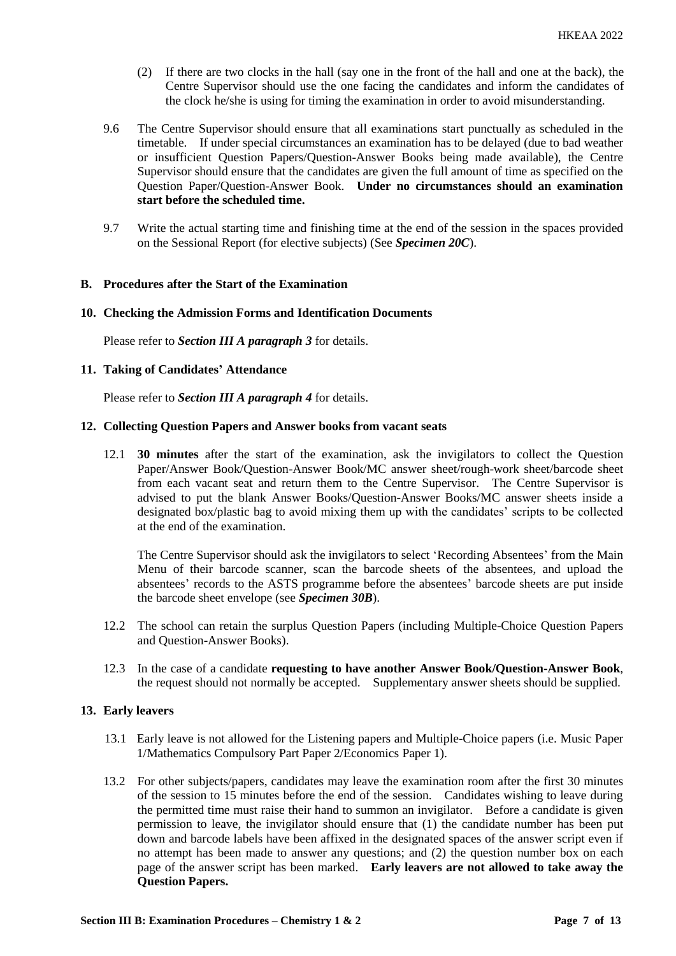- (2) If there are two clocks in the hall (say one in the front of the hall and one at the back), the Centre Supervisor should use the one facing the candidates and inform the candidates of the clock he/she is using for timing the examination in order to avoid misunderstanding.
- 9.6 The Centre Supervisor should ensure that all examinations start punctually as scheduled in the timetable. If under special circumstances an examination has to be delayed (due to bad weather or insufficient Question Papers/Question-Answer Books being made available), the Centre Supervisor should ensure that the candidates are given the full amount of time as specified on the Question Paper/Question-Answer Book. **Under no circumstances should an examination start before the scheduled time.**
- 9.7 Write the actual starting time and finishing time at the end of the session in the spaces provided on the Sessional Report (for elective subjects) (See *Specimen 20C*).

## **B. Procedures after the Start of the Examination**

## **10. Checking the Admission Forms and Identification Documents**

Please refer to *Section III A paragraph 3* for details.

## **11. Taking of Candidates' Attendance**

Please refer to *Section III A paragraph 4* for details.

## **12. Collecting Question Papers and Answer books from vacant seats**

12.1 **30 minutes** after the start of the examination, ask the invigilators to collect the Question Paper/Answer Book/Question-Answer Book/MC answer sheet/rough-work sheet/barcode sheet from each vacant seat and return them to the Centre Supervisor. The Centre Supervisor is advised to put the blank Answer Books/Question-Answer Books/MC answer sheets inside a designated box/plastic bag to avoid mixing them up with the candidates' scripts to be collected at the end of the examination.

The Centre Supervisor should ask the invigilators to select 'Recording Absentees' from the Main Menu of their barcode scanner, scan the barcode sheets of the absentees, and upload the absentees' records to the ASTS programme before the absentees' barcode sheets are put inside the barcode sheet envelope (see *Specimen 30B*).

- 12.2 The school can retain the surplus Question Papers (including Multiple-Choice Question Papers and Question-Answer Books).
- 12.3 In the case of a candidate **requesting to have another Answer Book/Question-Answer Book**, the request should not normally be accepted. Supplementary answer sheets should be supplied.

## **13. Early leavers**

- 13.1 Early leave is not allowed for the Listening papers and Multiple-Choice papers (i.e. Music Paper 1/Mathematics Compulsory Part Paper 2/Economics Paper 1).
- 13.2 For other subjects/papers, candidates may leave the examination room after the first 30 minutes of the session to 15 minutes before the end of the session. Candidates wishing to leave during the permitted time must raise their hand to summon an invigilator. Before a candidate is given permission to leave, the invigilator should ensure that (1) the candidate number has been put down and barcode labels have been affixed in the designated spaces of the answer script even if no attempt has been made to answer any questions; and (2) the question number box on each page of the answer script has been marked. **Early leavers are not allowed to take away the Question Papers.**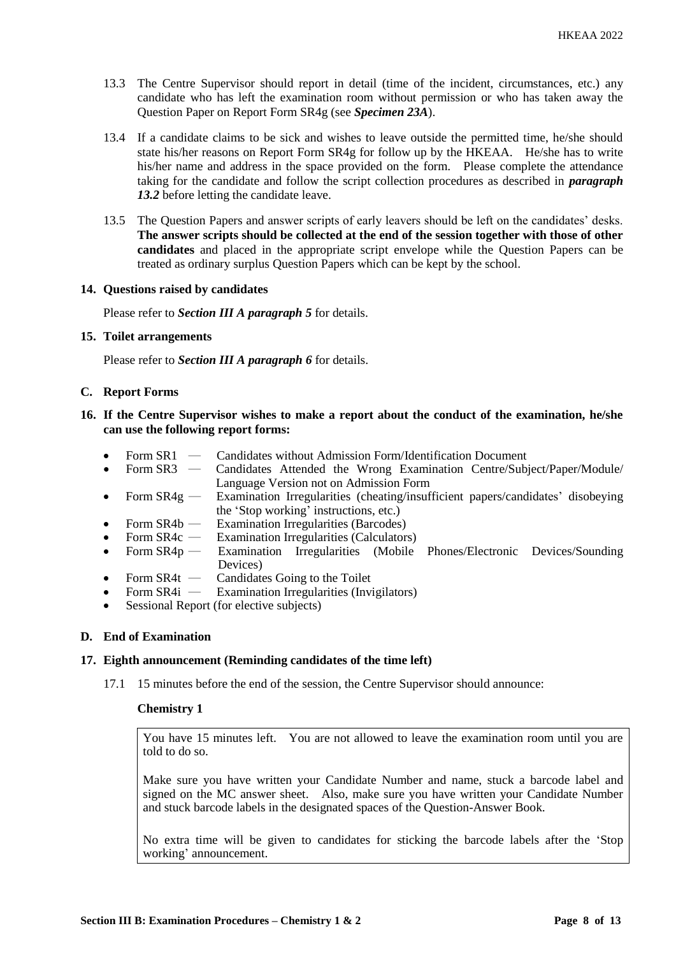- 13.3 The Centre Supervisor should report in detail (time of the incident, circumstances, etc.) any candidate who has left the examination room without permission or who has taken away the Question Paper on Report Form SR4g (see *Specimen 23A*).
- 13.4 If a candidate claims to be sick and wishes to leave outside the permitted time, he/she should state his/her reasons on Report Form SR4g for follow up by the HKEAA. He/she has to write his/her name and address in the space provided on the form. Please complete the attendance taking for the candidate and follow the script collection procedures as described in *paragraph 13.2* before letting the candidate leave.
- 13.5 The Question Papers and answer scripts of early leavers should be left on the candidates' desks. **The answer scripts should be collected at the end of the session together with those of other candidates** and placed in the appropriate script envelope while the Question Papers can be treated as ordinary surplus Question Papers which can be kept by the school.

## **14. Questions raised by candidates**

Please refer to *Section III A paragraph 5* for details.

**15. Toilet arrangements**

Please refer to *Section III A paragraph 6* for details.

## **C. Report Forms**

- **16. If the Centre Supervisor wishes to make a report about the conduct of the examination, he/she can use the following report forms:**
	- Form SR1 Candidates without Admission Form/Identification Document
	- Form SR3 ― Candidates Attended the Wrong Examination Centre/Subject/Paper/Module/ Language Version not on Admission Form
	- Form  $SR4g$  Examination Irregularities (cheating/insufficient papers/candidates' disobeying the 'Stop working' instructions, etc.)
	- Form SR4b Examination Irregularities (Barcodes)<br>• Form SR4c Examination Irregularities (Calculators
	- Form  $SR4c$  Examination Irregularities (Calculators)<br>• Form  $SR4p$  Examination Irregularities (Mobile
	- Form  $SR4p$  Examination Irregularities (Mobile Phones/Electronic Devices/Sounding Devices)
	- Form  $SR4t$  Candidates Going to the Toilet
	- Form SR4i ― Examination Irregularities (Invigilators)
	- Sessional Report (for elective subjects)

## **D. End of Examination**

## **17. Eighth announcement (Reminding candidates of the time left)**

17.1 15 minutes before the end of the session, the Centre Supervisor should announce:

## **Chemistry 1**

You have 15 minutes left. You are not allowed to leave the examination room until you are told to do so.

Make sure you have written your Candidate Number and name, stuck a barcode label and signed on the MC answer sheet. Also, make sure you have written your Candidate Number and stuck barcode labels in the designated spaces of the Question-Answer Book.

No extra time will be given to candidates for sticking the barcode labels after the 'Stop working' announcement.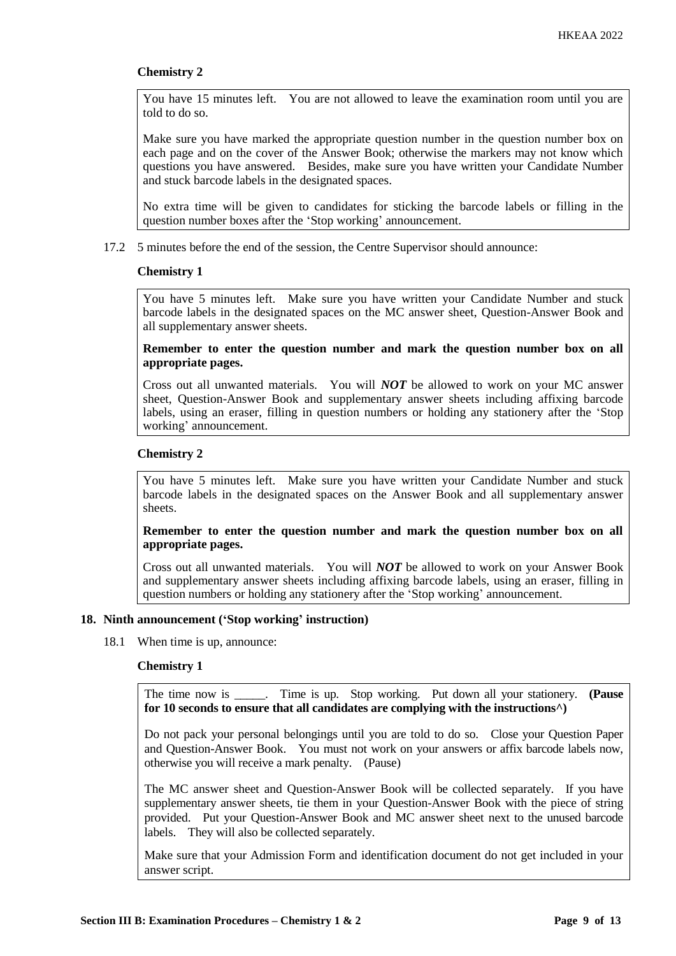You have 15 minutes left. You are not allowed to leave the examination room until you are told to do so.

Make sure you have marked the appropriate question number in the question number box on each page and on the cover of the Answer Book; otherwise the markers may not know which questions you have answered. Besides, make sure you have written your Candidate Number and stuck barcode labels in the designated spaces.

No extra time will be given to candidates for sticking the barcode labels or filling in the question number boxes after the 'Stop working' announcement.

17.2 5 minutes before the end of the session, the Centre Supervisor should announce:

## **Chemistry 1**

You have 5 minutes left. Make sure you have written your Candidate Number and stuck barcode labels in the designated spaces on the MC answer sheet, Question-Answer Book and all supplementary answer sheets.

## **Remember to enter the question number and mark the question number box on all appropriate pages.**

Cross out all unwanted materials. You will *NOT* be allowed to work on your MC answer sheet, Question-Answer Book and supplementary answer sheets including affixing barcode labels, using an eraser, filling in question numbers or holding any stationery after the 'Stop working' announcement.

# **Chemistry 2**

You have 5 minutes left. Make sure you have written your Candidate Number and stuck barcode labels in the designated spaces on the Answer Book and all supplementary answer sheets.

**Remember to enter the question number and mark the question number box on all appropriate pages.** 

Cross out all unwanted materials. You will *NOT* be allowed to work on your Answer Book and supplementary answer sheets including affixing barcode labels, using an eraser, filling in question numbers or holding any stationery after the 'Stop working' announcement.

## **18. Ninth announcement ('Stop working' instruction)**

18.1 When time is up, announce:

## **Chemistry 1**

The time now is Time is up. Stop working. Put down all your stationery. **(Pause for 10 seconds to ensure that all candidates are complying with the instructions^)**

Do not pack your personal belongings until you are told to do so. Close your Question Paper and Question-Answer Book. You must not work on your answers or affix barcode labels now, otherwise you will receive a mark penalty. (Pause)

The MC answer sheet and Question-Answer Book will be collected separately. If you have supplementary answer sheets, tie them in your Question-Answer Book with the piece of string provided. Put your Question-Answer Book and MC answer sheet next to the unused barcode labels. They will also be collected separately.

Make sure that your Admission Form and identification document do not get included in your answer script.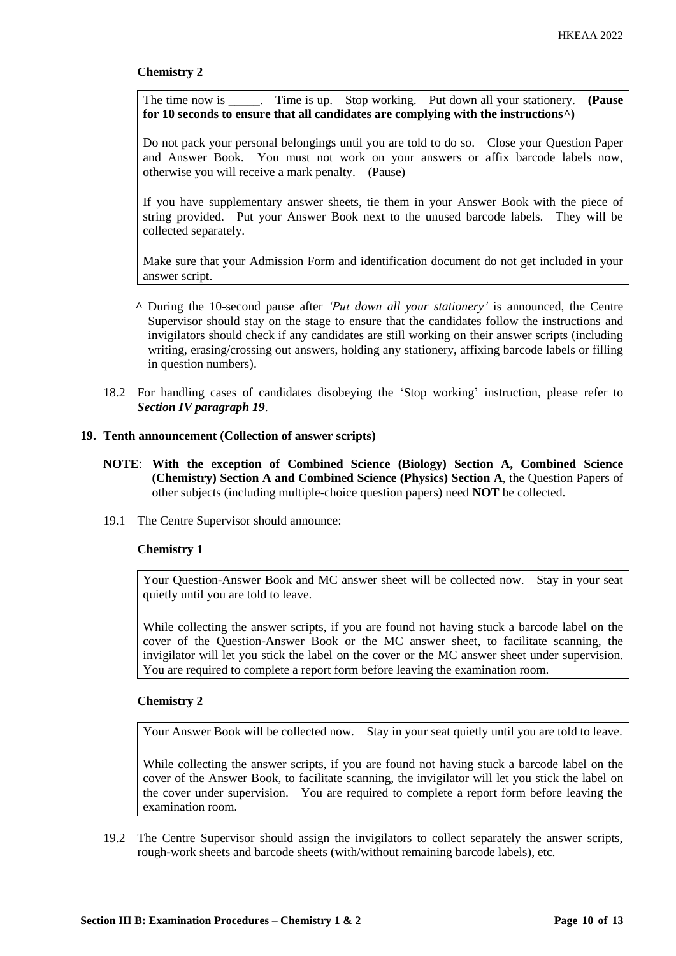The time now is \_\_\_\_\_. Time is up. Stop working. Put down all your stationery. **(Pause for 10 seconds to ensure that all candidates are complying with the instructions^)**

Do not pack your personal belongings until you are told to do so. Close your Question Paper and Answer Book. You must not work on your answers or affix barcode labels now, otherwise you will receive a mark penalty. (Pause)

If you have supplementary answer sheets, tie them in your Answer Book with the piece of string provided. Put your Answer Book next to the unused barcode labels. They will be collected separately.

Make sure that your Admission Form and identification document do not get included in your answer script.

- **^** During the 10-second pause after *'Put down all your stationery'* is announced, the Centre Supervisor should stay on the stage to ensure that the candidates follow the instructions and invigilators should check if any candidates are still working on their answer scripts (including writing, erasing/crossing out answers, holding any stationery, affixing barcode labels or filling in question numbers).
- 18.2 For handling cases of candidates disobeying the 'Stop working' instruction, please refer to *Section IV paragraph 19*.

## **19. Tenth announcement (Collection of answer scripts)**

- **NOTE**: **With the exception of Combined Science (Biology) Section A, Combined Science (Chemistry) Section A and Combined Science (Physics) Section A**, the Question Papers of other subjects (including multiple-choice question papers) need **NOT** be collected.
- 19.1 The Centre Supervisor should announce:

## **Chemistry 1**

Your Question-Answer Book and MC answer sheet will be collected now. Stay in your seat quietly until you are told to leave.

While collecting the answer scripts, if you are found not having stuck a barcode label on the cover of the Question-Answer Book or the MC answer sheet, to facilitate scanning, the invigilator will let you stick the label on the cover or the MC answer sheet under supervision. You are required to complete a report form before leaving the examination room.

#### **Chemistry 2**

Your Answer Book will be collected now. Stay in your seat quietly until you are told to leave.

While collecting the answer scripts, if you are found not having stuck a barcode label on the cover of the Answer Book, to facilitate scanning, the invigilator will let you stick the label on the cover under supervision. You are required to complete a report form before leaving the examination room.

19.2 The Centre Supervisor should assign the invigilators to collect separately the answer scripts, rough-work sheets and barcode sheets (with/without remaining barcode labels), etc.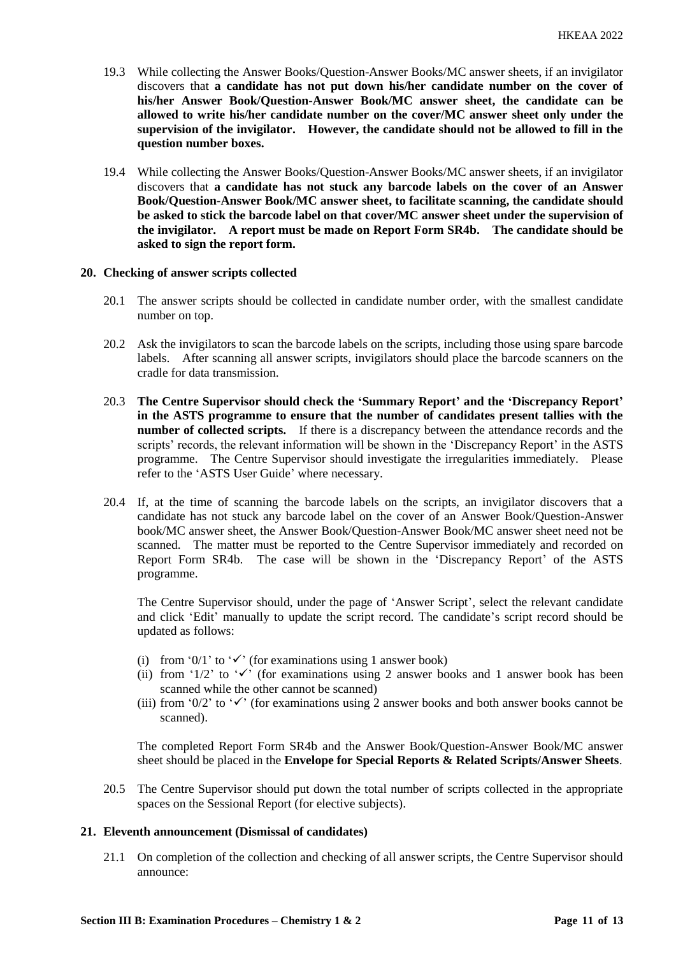- 19.3 While collecting the Answer Books/Question-Answer Books/MC answer sheets, if an invigilator discovers that **a candidate has not put down his/her candidate number on the cover of his/her Answer Book/Question-Answer Book/MC answer sheet, the candidate can be allowed to write his/her candidate number on the cover/MC answer sheet only under the supervision of the invigilator. However, the candidate should not be allowed to fill in the question number boxes.**
- 19.4 While collecting the Answer Books/Question-Answer Books/MC answer sheets, if an invigilator discovers that **a candidate has not stuck any barcode labels on the cover of an Answer Book/Question-Answer Book/MC answer sheet, to facilitate scanning, the candidate should be asked to stick the barcode label on that cover/MC answer sheet under the supervision of the invigilator. A report must be made on Report Form SR4b. The candidate should be asked to sign the report form.**

## **20. Checking of answer scripts collected**

- 20.1 The answer scripts should be collected in candidate number order, with the smallest candidate number on top.
- 20.2 Ask the invigilators to scan the barcode labels on the scripts, including those using spare barcode labels. After scanning all answer scripts, invigilators should place the barcode scanners on the cradle for data transmission.
- 20.3 **The Centre Supervisor should check the 'Summary Report' and the 'Discrepancy Report' in the ASTS programme to ensure that the number of candidates present tallies with the number of collected scripts.** If there is a discrepancy between the attendance records and the scripts' records, the relevant information will be shown in the 'Discrepancy Report' in the ASTS programme. The Centre Supervisor should investigate the irregularities immediately. Please refer to the 'ASTS User Guide' where necessary.
- 20.4 If, at the time of scanning the barcode labels on the scripts, an invigilator discovers that a candidate has not stuck any barcode label on the cover of an Answer Book/Question-Answer book/MC answer sheet, the Answer Book/Question-Answer Book/MC answer sheet need not be scanned. The matter must be reported to the Centre Supervisor immediately and recorded on Report Form SR4b. The case will be shown in the 'Discrepancy Report' of the ASTS programme.

The Centre Supervisor should, under the page of 'Answer Script', select the relevant candidate and click 'Edit' manually to update the script record. The candidate's script record should be updated as follows:

- (i) from '0/1' to ' $\checkmark$ ' (for examinations using 1 answer book)
- (ii) from '1/2' to ' $\checkmark$ ' (for examinations using 2 answer books and 1 answer book has been scanned while the other cannot be scanned)
- (iii) from '0/2' to ' $\checkmark$ ' (for examinations using 2 answer books and both answer books cannot be scanned).

The completed Report Form SR4b and the Answer Book/Question-Answer Book/MC answer sheet should be placed in the **Envelope for Special Reports & Related Scripts/Answer Sheets**.

20.5 The Centre Supervisor should put down the total number of scripts collected in the appropriate spaces on the Sessional Report (for elective subjects).

## **21. Eleventh announcement (Dismissal of candidates)**

21.1 On completion of the collection and checking of all answer scripts, the Centre Supervisor should announce: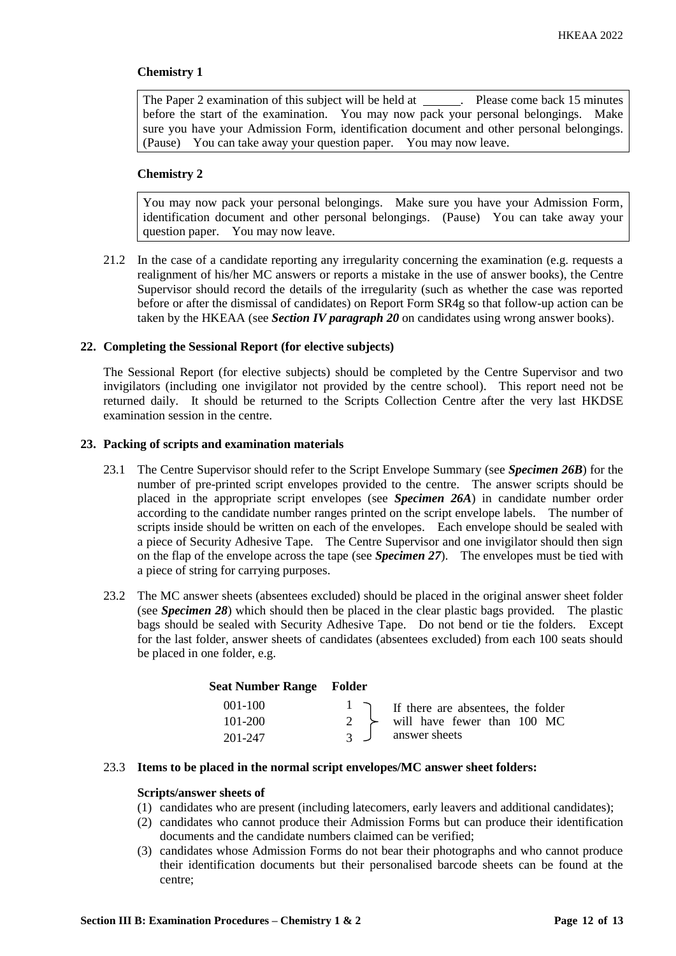The Paper 2 examination of this subject will be held at \_\_\_\_\_\_. Please come back 15 minutes before the start of the examination. You may now pack your personal belongings. Make sure you have your Admission Form, identification document and other personal belongings. (Pause) You can take away your question paper. You may now leave.

## **Chemistry 2**

You may now pack your personal belongings. Make sure you have your Admission Form, identification document and other personal belongings. (Pause) You can take away your question paper. You may now leave.

21.2 In the case of a candidate reporting any irregularity concerning the examination (e.g. requests a realignment of his/her MC answers or reports a mistake in the use of answer books), the Centre Supervisor should record the details of the irregularity (such as whether the case was reported before or after the dismissal of candidates) on Report Form SR4g so that follow-up action can be taken by the HKEAA (see *Section IV paragraph 20* on candidates using wrong answer books).

## **22. Completing the Sessional Report (for elective subjects)**

The Sessional Report (for elective subjects) should be completed by the Centre Supervisor and two invigilators (including one invigilator not provided by the centre school). This report need not be returned daily. It should be returned to the Scripts Collection Centre after the very last HKDSE examination session in the centre.

## **23. Packing of scripts and examination materials**

- 23.1 The Centre Supervisor should refer to the Script Envelope Summary (see *Specimen 26B*) for the number of pre-printed script envelopes provided to the centre. The answer scripts should be placed in the appropriate script envelopes (see *Specimen 26A*) in candidate number order according to the candidate number ranges printed on the script envelope labels. The number of scripts inside should be written on each of the envelopes. Each envelope should be sealed with a piece of Security Adhesive Tape. The Centre Supervisor and one invigilator should then sign on the flap of the envelope across the tape (see *Specimen 27*). The envelopes must be tied with a piece of string for carrying purposes.
- 23.2 The MC answer sheets (absentees excluded) should be placed in the original answer sheet folder (see *Specimen 28*) which should then be placed in the clear plastic bags provided. The plastic bags should be sealed with Security Adhesive Tape. Do not bend or tie the folders. Except for the last folder, answer sheets of candidates (absentees excluded) from each 100 seats should be placed in one folder, e.g.

| <b>Seat Number Range Folder</b> |                |                                             |
|---------------------------------|----------------|---------------------------------------------|
| $001 - 100$                     |                | I I f there are absentees, the folder       |
| $101 - 200$                     |                | 2 $\rightarrow$ will have fewer than 100 MC |
| 201-247                         | $\overline{3}$ | answer sheets                               |

## 23.3 **Items to be placed in the normal script envelopes/MC answer sheet folders:**

# **Scripts/answer sheets of**

- (1) candidates who are present (including latecomers, early leavers and additional candidates);
- (2) candidates who cannot produce their Admission Forms but can produce their identification documents and the candidate numbers claimed can be verified;
- (3) candidates whose Admission Forms do not bear their photographs and who cannot produce their identification documents but their personalised barcode sheets can be found at the centre;